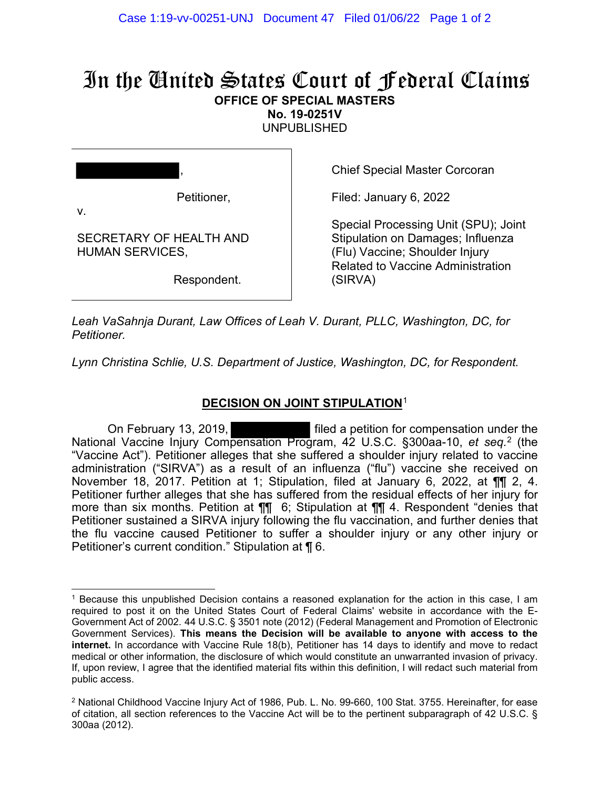## In the United States Court of Federal Claims **OFFICE OF SPECIAL MASTERS**

**No. 19-0251V** 

UNPUBLISHED

| ,                                                 |
|---------------------------------------------------|
| Petitioner,<br>V.                                 |
| SECRETARY OF HEALTH AND<br><b>HUMAN SERVICES,</b> |
| Respondent.                                       |

Chief Special Master Corcoran

Filed: January 6, 2022

Special Processing Unit (SPU); Joint Stipulation on Damages; Influenza (Flu) Vaccine; Shoulder Injury Related to Vaccine Administration (SIRVA)

*Leah VaSahnja Durant, Law Offices of Leah V. Durant, PLLC, Washington, DC, for Petitioner.*

*Lynn Christina Schlie, U.S. Department of Justice, Washington, DC, for Respondent.*

## **DECISION ON JOINT STIPULATION**<sup>1</sup>

On February 13, 2019, filed a petition for compensation under the National Vaccine Injury Compensation Program, 42 U.S.C. §300aa-10, *et seq.* 2 (the "Vaccine Act"). Petitioner alleges that she suffered a shoulder injury related to vaccine administration ("SIRVA") as a result of an influenza ("flu") vaccine she received on November 18, 2017. Petition at 1; Stipulation, filed at January 6, 2022, at ¶¶ 2, 4. Petitioner further alleges that she has suffered from the residual effects of her injury for more than six months. Petition at ¶¶ 6; Stipulation at ¶¶ 4. Respondent "denies that Petitioner sustained a SIRVA injury following the flu vaccination, and further denies that the flu vaccine caused Petitioner to suffer a shoulder injury or any other injury or Petitioner's current condition." Stipulation at ¶ 6.

<sup>1</sup> Because this unpublished Decision contains a reasoned explanation for the action in this case, I am required to post it on the United States Court of Federal Claims' website in accordance with the E-Government Act of 2002. 44 U.S.C. § 3501 note (2012) (Federal Management and Promotion of Electronic Government Services). **This means the Decision will be available to anyone with access to the internet.** In accordance with Vaccine Rule 18(b), Petitioner has 14 days to identify and move to redact medical or other information, the disclosure of which would constitute an unwarranted invasion of privacy. If, upon review, I agree that the identified material fits within this definition, I will redact such material from public access.

<sup>2</sup> National Childhood Vaccine Injury Act of 1986, Pub. L. No. 99-660, 100 Stat. 3755. Hereinafter, for ease of citation, all section references to the Vaccine Act will be to the pertinent subparagraph of 42 U.S.C. § 300aa (2012).